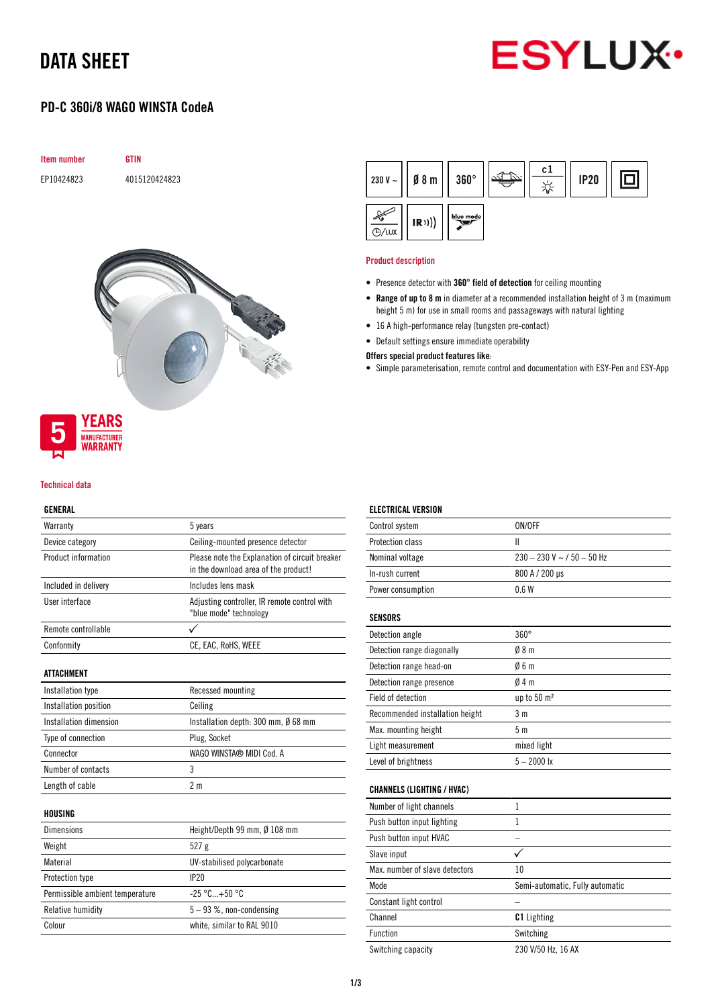## DATA SHEET



### PD-C 360i/8 WAGO WINSTA CodeA





# WARRANTY

**MANUFACTURER** 

#### Technical data

#### GENERAL

| Warrantv                        | 5 years                                                                                |  |
|---------------------------------|----------------------------------------------------------------------------------------|--|
| Device category                 | Ceiling-mounted presence detector                                                      |  |
| Product information             | Please note the Explanation of circuit breaker<br>in the download area of the product! |  |
| Included in delivery            | Includes lens mask                                                                     |  |
| User interface                  | Adjusting controller, IR remote control with<br>"blue mode" technology                 |  |
| Remote controllable             | ✓                                                                                      |  |
| Conformity                      | CE, EAC, RoHS, WEEE                                                                    |  |
| <b>ATTACHMENT</b>               |                                                                                        |  |
| Installation type               | Recessed mounting                                                                      |  |
| Installation position           | Ceiling                                                                                |  |
| Installation dimension          | Installation depth: 300 mm, Ø 68 mm                                                    |  |
| Type of connection              | Plug, Socket                                                                           |  |
| Connector                       | WAGO WINSTA® MIDI Cod. A                                                               |  |
| Number of contacts              | 3                                                                                      |  |
| Length of cable                 | 2 <sub>m</sub>                                                                         |  |
| HOUSING                         |                                                                                        |  |
| <b>Dimensions</b>               | Height/Depth 99 mm, Ø 108 mm                                                           |  |
| Weight                          | 527 g                                                                                  |  |
| Material                        | UV-stabilised polycarbonate                                                            |  |
| Protection type                 | IP20                                                                                   |  |
| Permissible ambient temperature | $-25 °C+50 °C$                                                                         |  |
| Relative humidity               | $5 - 93$ %, non-condensing                                                             |  |
| Colour                          | white, similar to RAL 9010                                                             |  |



#### Product description

- Presence detector with 360° field of detection for ceiling mounting
- Range of up to 8 m in diameter at a recommended installation height of 3 m (maximum height 5 m) for use in small rooms and passageways with natural lighting
- 16 A high-performance relay (tungsten pre-contact)
- Default settings ensure immediate operability

#### Offers special product features like:

• Simple parameterisation, remote control and documentation with ESY-Pen and ESY-App

| <b>ELECTRICAL VERSION</b>         |                                 |
|-----------------------------------|---------------------------------|
| Control system                    | ON/OFF                          |
| Protection class                  | $\mathbf{I}$                    |
| Nominal voltage                   | $230 - 230$ V ~ / 50 - 50 Hz    |
| In-rush current                   | 800 A / 200 µs                  |
| Power consumption                 | 06W                             |
| <b>SENSORS</b>                    |                                 |
| Detection angle                   | $360^\circ$                     |
| Detection range diagonally        | 08 <sub>m</sub>                 |
| Detection range head-on           | 06m                             |
| Detection range presence          | 04m                             |
| Field of detection                | up to $50 \text{ m}^2$          |
| Recommended installation height   | 3 <sub>m</sub>                  |
| Max. mounting height              | 5 <sub>m</sub>                  |
| Light measurement                 | mixed light                     |
| Level of brightness               | $5 - 2000$ lx                   |
| <b>CHANNELS (LIGHTING / HVAC)</b> |                                 |
| Number of light channels          | $\mathbf{1}$                    |
| Push button input lighting        | 1                               |
| Push button input HVAC            |                                 |
| Slave input                       | ✓                               |
| Max, number of slave detectors    | 10                              |
| Mode                              | Semi-automatic, Fully automatic |
| Constant light control            |                                 |
| Channel                           | <b>C1</b> Lighting              |
| Function                          | Switching                       |
| Switching capacity                | 230 V/50 Hz, 16 AX              |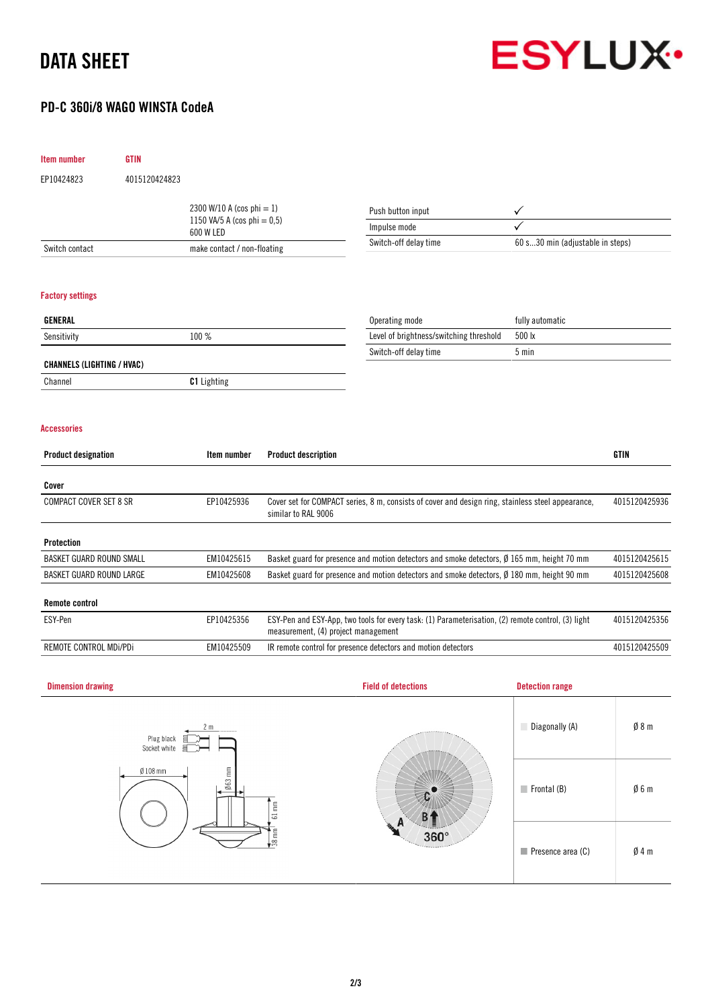## DATA SHEET



### PD-C 360i/8 WAGO WINSTA CodeA

| Item number                       | <b>GTIN</b>   |                                             |                                                                                                                                           |                                                                                            |                                  |               |
|-----------------------------------|---------------|---------------------------------------------|-------------------------------------------------------------------------------------------------------------------------------------------|--------------------------------------------------------------------------------------------|----------------------------------|---------------|
| EP10424823                        | 4015120424823 |                                             |                                                                                                                                           |                                                                                            |                                  |               |
| 2300 W/10 A (cos phi = 1)         |               |                                             | Push button input                                                                                                                         | ✓                                                                                          |                                  |               |
|                                   |               | 1150 VA/5 A (cos phi = $0,5$ )<br>600 W LED |                                                                                                                                           | Impulse mode                                                                               |                                  |               |
| Switch contact                    |               | make contact / non-floating                 |                                                                                                                                           | Switch-off delay time                                                                      | 60 s30 min (adjustable in steps) |               |
|                                   |               |                                             |                                                                                                                                           |                                                                                            |                                  |               |
| <b>Factory settings</b>           |               |                                             |                                                                                                                                           |                                                                                            |                                  |               |
| GENERAL                           |               |                                             |                                                                                                                                           | Operating mode                                                                             | fully automatic                  |               |
| Sensitivity                       |               | 100 %                                       |                                                                                                                                           | Level of brightness/switching threshold                                                    | 500 lx                           |               |
|                                   |               |                                             |                                                                                                                                           | Switch-off delay time                                                                      | 5 min                            |               |
| <b>CHANNELS (LIGHTING / HVAC)</b> |               |                                             |                                                                                                                                           |                                                                                            |                                  |               |
| Channel                           |               | C1 Lighting                                 |                                                                                                                                           |                                                                                            |                                  |               |
| <b>Accessories</b>                |               |                                             |                                                                                                                                           |                                                                                            |                                  |               |
|                                   |               |                                             |                                                                                                                                           |                                                                                            |                                  |               |
| <b>Product designation</b>        |               | Item number                                 | <b>Product description</b>                                                                                                                |                                                                                            |                                  | <b>GTIN</b>   |
| Cover                             |               |                                             |                                                                                                                                           |                                                                                            |                                  |               |
| <b>COMPACT COVER SET 8 SR</b>     |               | EP10425936                                  | Cover set for COMPACT series, 8 m, consists of cover and design ring, stainless steel appearance,<br>similar to RAL 9006                  |                                                                                            | 4015120425936                    |               |
| Protection                        |               |                                             |                                                                                                                                           |                                                                                            |                                  |               |
| <b>BASKET GUARD ROUND SMALL</b>   |               | EM10425615                                  | Basket guard for presence and motion detectors and smoke detectors, Ø 165 mm, height 70 mm                                                |                                                                                            | 4015120425615                    |               |
| <b>BASKET GUARD ROUND LARGE</b>   |               | EM10425608                                  |                                                                                                                                           | Basket guard for presence and motion detectors and smoke detectors, Ø 180 mm, height 90 mm |                                  | 4015120425608 |
| <b>Remote control</b>             |               |                                             |                                                                                                                                           |                                                                                            |                                  |               |
| ESY-Pen                           |               | EP10425356                                  | ESY-Pen and ESY-App, two tools for every task: (1) Parameterisation, (2) remote control, (3) light<br>measurement, (4) project management |                                                                                            | 4015120425356                    |               |
| REMOTE CONTROL MDi/PDi            |               | EM10425509                                  |                                                                                                                                           | IR remote control for presence detectors and motion detectors                              |                                  | 4015120425509 |
| <b>Dimension drawing</b>          |               |                                             |                                                                                                                                           | <b>Field of detections</b>                                                                 | <b>Detection range</b>           |               |
|                                   |               |                                             |                                                                                                                                           |                                                                                            |                                  |               |
|                                   |               |                                             |                                                                                                                                           |                                                                                            |                                  |               |
|                                   | Plug black 旨  |                                             |                                                                                                                                           |                                                                                            | Diagonally (A)                   | Ø8m           |

| 2 <sub>m</sub><br>Plug black<br>≣⊃<br>Socket white<br>目了。                                 |             | Diagonally (A)             | $\emptyset$ 8 m |
|-------------------------------------------------------------------------------------------|-------------|----------------------------|-----------------|
| $063$ mm<br>$Ø108$ mm<br>E<br>$\overline{\phantom{0}}$<br>$\epsilon$<br>$\frac{1}{38}$ mm | $360^\circ$ | $\blacksquare$ Frontal (B) | Ø6m             |
|                                                                                           |             | Presence area (C)          | Ø4m             |